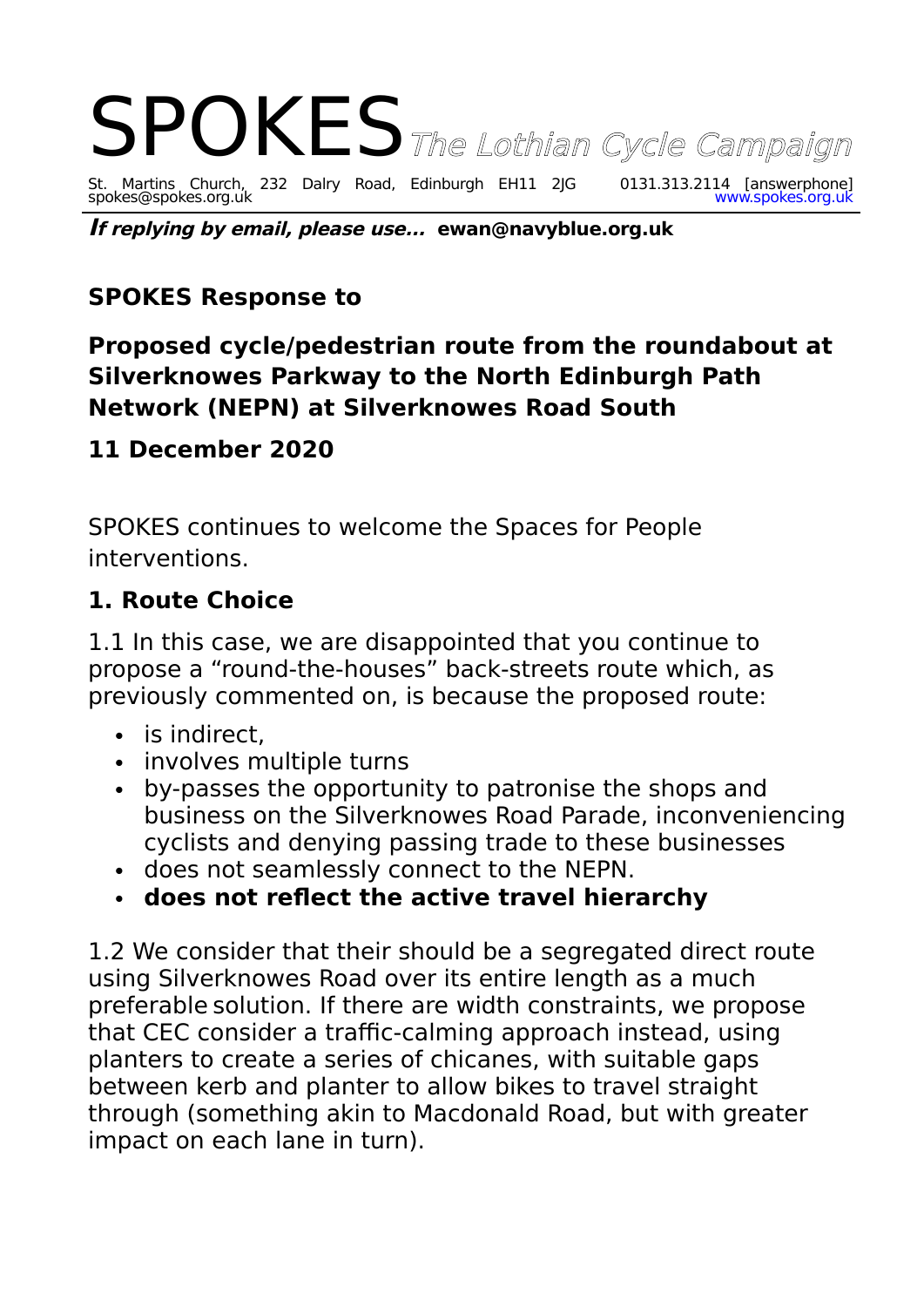

**If replying by email, please use... ewan@navyblue.org.uk**

## **SPOKES Response to**

## **Proposed cycle/pedestrian route from the roundabout at Silverknowes Parkway to the North Edinburgh Path Network (NEPN) at Silverknowes Road South**

#### **11 December 2020**

SPOKES continues to welcome the Spaces for People interventions.

#### **1. Route Choice**

1.1 In this case, we are disappointed that you continue to propose a "round-the-houses" back-streets route which, as previously commented on, is because the proposed route:

- is indirect.
- involves multiple turns
- by-passes the opportunity to patronise the shops and business on the Silverknowes Road Parade, inconveniencing cyclists and denying passing trade to these businesses
- does not seamlessly connect to the NEPN.
- **does not reflect the active travel hierarchy**

1.2 We consider that their should be a segregated direct route using Silverknowes Road over its entire length as a much preferable solution. If there are width constraints, we propose that CEC consider a traffic-calming approach instead, using planters to create a series of chicanes, with suitable gaps between kerb and planter to allow bikes to travel straight through (something akin to Macdonald Road, but with greater impact on each lane in turn).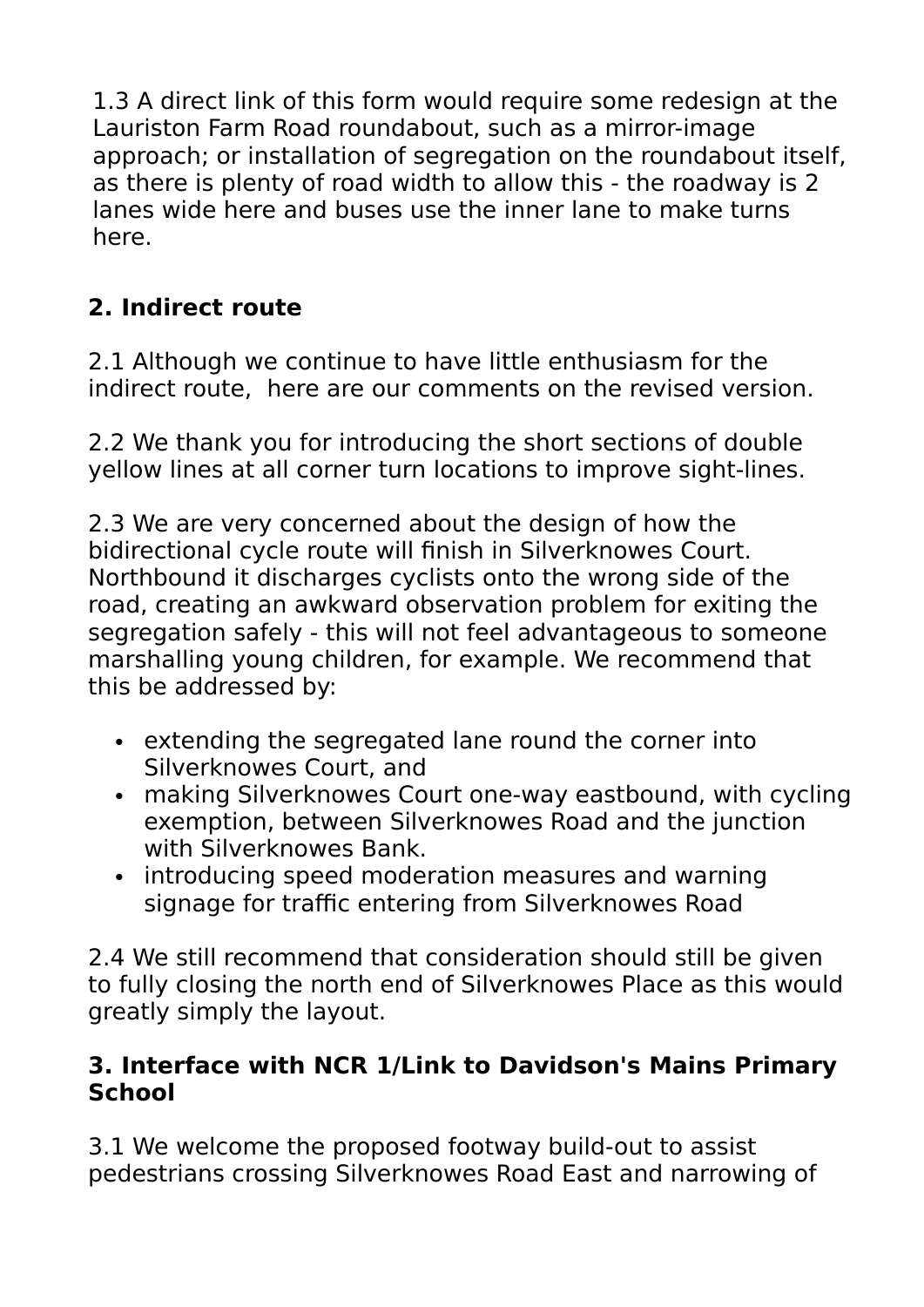1.3 A direct link of this form would require some redesign at the Lauriston Farm Road roundabout, such as a mirror-image approach; or installation of segregation on the roundabout itself, as there is plenty of road width to allow this - the roadway is 2 lanes wide here and buses use the inner lane to make turns here.

# **2. Indirect route**

2.1 Although we continue to have little enthusiasm for the indirect route, here are our comments on the revised version.

2.2 We thank you for introducing the short sections of double yellow lines at all corner turn locations to improve sight-lines.

2.3 We are very concerned about the design of how the bidirectional cycle route will finish in Silverknowes Court. Northbound it discharges cyclists onto the wrong side of the road, creating an awkward observation problem for exiting the segregation safely - this will not feel advantageous to someone marshalling young children, for example. We recommend that this be addressed by:

- extending the segregated lane round the corner into Silverknowes Court, and
- making Silverknowes Court one-way eastbound, with cycling exemption, between Silverknowes Road and the junction with Silverknowes Bank.
- introducing speed moderation measures and warning signage for traffic entering from Silverknowes Road

2.4 We still recommend that consideration should still be given to fully closing the north end of Silverknowes Place as this would greatly simply the layout.

## **3. Interface with NCR 1/Link to Davidson's Mains Primary School**

3.1 We welcome the proposed footway build-out to assist pedestrians crossing Silverknowes Road East and narrowing of